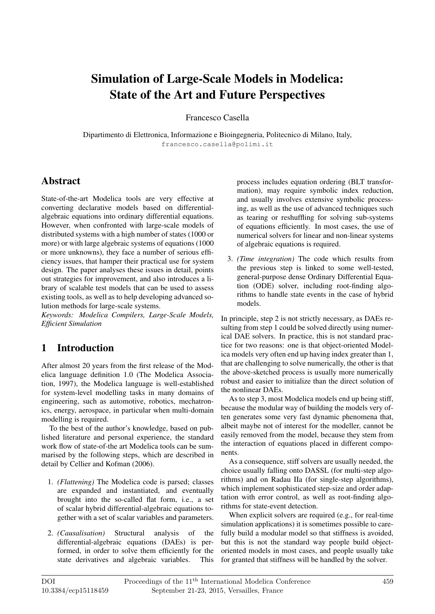# Simulation of Large-Scale Models in Modelica: State of the Art and Future Perspectives

Francesco Casella

Dipartimento di Elettronica, Informazione e Bioingegneria, Politecnico di Milano, Italy, francesco.casella@polimi.it

### Abstract

State-of-the-art Modelica tools are very effective at converting declarative models based on differentialalgebraic equations into ordinary differential equations. However, when confronted with large-scale models of distributed systems with a high number of states (1000 or more) or with large algebraic systems of equations (1000 or more unknowns), they face a number of serious efficiency issues, that hamper their practical use for system design. The paper analyses these issues in detail, points out strategies for improvement, and also introduces a library of scalable test models that can be used to assess existing tools, as well as to help developing advanced solution methods for large-scale systems.

*Keywords: Modelica Compilers, Large-Scale Models, Efficient Simulation*

### 1 Introduction

After almost 20 years from the first release of the Modelica language definition 1.0 (The Modelica Association, 1997), the Modelica language is well-established for system-level modelling tasks in many domains of engineering, such as automotive, robotics, mechatronics, energy, aerospace, in particular when multi-domain modelling is required.

To the best of the author's knowledge, based on published literature and personal experience, the standard work flow of state-of-the art Modelica tools can be summarised by the following steps, which are described in detail by Cellier and Kofman (2006).

- 1. *(Flattening)* The Modelica code is parsed; classes are expanded and instantiated, and eventually brought into the so-called flat form, i.e., a set of scalar hybrid differential-algebraic equations together with a set of scalar variables and parameters.
- 2. *(Causalisation)* Structural analysis of the differential-algebraic equations (DAEs) is performed, in order to solve them efficiently for the state derivatives and algebraic variables. This

process includes equation ordering (BLT transformation), may require symbolic index reduction, and usually involves extensive symbolic processing, as well as the use of advanced techniques such as tearing or reshuffling for solving sub-systems of equations efficiently. In most cases, the use of numerical solvers for linear and non-linear systems of algebraic equations is required.

3. *(Time integration)* The code which results from the previous step is linked to some well-tested, general-purpose dense Ordinary Differential Equation (ODE) solver, including root-finding algorithms to handle state events in the case of hybrid models.

In principle, step 2 is not strictly necessary, as DAEs resulting from step 1 could be solved directly using numerical DAE solvers. In practice, this is not standard practice for two reasons: one is that object-oriented Modelica models very often end up having index greater than 1, that are challenging to solve numerically, the other is that the above-sketched process is usually more numerically robust and easier to initialize than the direct solution of the nonlinear DAEs.

As to step 3, most Modelica models end up being stiff, because the modular way of building the models very often generates some very fast dynamic phenomena that, albeit maybe not of interest for the modeller, cannot be easily removed from the model, because they stem from the interaction of equations placed in different components.

As a consequence, stiff solvers are usually needed, the choice usually falling onto DASSL (for multi-step algorithms) and on Radau IIa (for single-step algorithms), which implement sophisticated step-size and order adaptation with error control, as well as root-finding algorithms for state-event detection.

When explicit solvers are required (e.g., for real-time simulation applications) it is sometimes possible to carefully build a modular model so that stiffness is avoided, but this is not the standard way people build objectoriented models in most cases, and people usually take for granted that stiffness will be handled by the solver.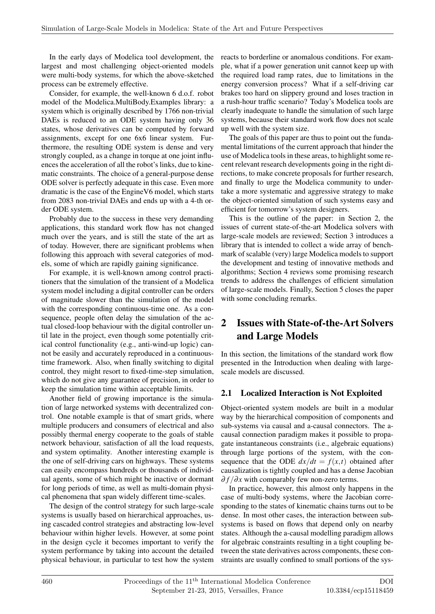In the early days of Modelica tool development, the largest and most challenging object-oriented models were multi-body systems, for which the above-sketched process can be extremely effective.

Consider, for example, the well-known 6 d.o.f. robot model of the Modelica.MultiBody.Examples library: a system which is originally described by 1766 non-trivial DAEs is reduced to an ODE system having only 36 states, whose derivatives can be computed by forward assignments, except for one 6x6 linear system. Furthermore, the resulting ODE system is dense and very strongly coupled, as a change in torque at one joint influences the acceleration of all the robot's links, due to kinematic constraints. The choice of a general-purpose dense ODE solver is perfectly adequate in this case. Even more dramatic is the case of the EngineV6 model, which starts from 2083 non-trivial DAEs and ends up with a 4-th order ODE system.

Probably due to the success in these very demanding applications, this standard work flow has not changed much over the years, and is still the state of the art as of today. However, there are significant problems when following this approach with several categories of models, some of which are rapidly gaining significance.

For example, it is well-known among control practitioners that the simulation of the transient of a Modelica system model including a digital controller can be orders of magnitude slower than the simulation of the model with the corresponding continuous-time one. As a consequence, people often delay the simulation of the actual closed-loop behaviour with the digital controller until late in the project, even though some potentially critical control functionality (e.g., anti-wind-up logic) cannot be easily and accurately reproduced in a continuoustime framework. Also, when finally switching to digital control, they might resort to fixed-time-step simulation, which do not give any guarantee of precision, in order to keep the simulation time within acceptable limits.

Another field of growing importance is the simulation of large networked systems with decentralized control. One notable example is that of smart grids, where multiple producers and consumers of electrical and also possibly thermal energy cooperate to the goals of stable network behaviour, satisfaction of all the load requests, and system optimality. Another interesting example is the one of self-driving cars on highways. These systems can easily encompass hundreds or thousands of individual agents, some of which might be inactive or dormant for long periods of time, as well as multi-domain physical phenomena that span widely different time-scales.

The design of the control strategy for such large-scale systems is usually based on hierarchical approaches, using cascaded control strategies and abstracting low-level behaviour within higher levels. However, at some point in the design cycle it becomes important to verify the system performance by taking into account the detailed physical behaviour, in particular to test how the system

reacts to borderline or anomalous conditions. For example, what if a power generation unit cannot keep up with the required load ramp rates, due to limitations in the energy conversion process? What if a self-driving car brakes too hard on slippery ground and loses traction in a rush-hour traffic scenario? Today's Modelica tools are clearly inadequate to handle the simulation of such large systems, because their standard work flow does not scale up well with the system size.

The goals of this paper are thus to point out the fundamental limitations of the current approach that hinder the use of Modelica tools in these areas, to highlight some recent relevant research developments going in the right directions, to make concrete proposals for further research, and finally to urge the Modelica community to undertake a more systematic and aggressive strategy to make the object-oriented simulation of such systems easy and efficient for tomorrow's system designers.

This is the outline of the paper: in Section 2, the issues of current state-of-the-art Modelica solvers with large-scale models are reviewed; Section 3 introduces a library that is intended to collect a wide array of benchmark of scalable (very) large Modelica models to support the development and testing of innovative methods and algorithms; Section 4 reviews some promising research trends to address the challenges of efficient simulation of large-scale models. Finally, Section 5 closes the paper with some concluding remarks.

# 2 Issues with State-of-the-Art Solvers and Large Models

In this section, the limitations of the standard work flow presented in the Introduction when dealing with largescale models are discussed.

### 2.1 Localized Interaction is Not Exploited

Object-oriented system models are built in a modular way by the hierarchical composition of components and sub-systems via causal and a-causal connectors. The acausal connection paradigm makes it possible to propagate instantaneous constraints (i.e., algebraic equations) through large portions of the system, with the consequence that the ODE  $dx/dt = f(x,t)$  obtained after causalization is tightly coupled and has a dense Jacobian ∂ *f* /∂*x* with comparably few non-zero terms.

In practice, however, this almost only happens in the case of multi-body systems, where the Jacobian corresponding to the states of kinematic chains turns out to be dense. In most other cases, the interaction between subsystems is based on flows that depend only on nearby states. Although the a-causal modelling paradigm allows for algebraic constraints resulting in a tight coupling between the state derivatives across components, these constraints are usually confined to small portions of the sys-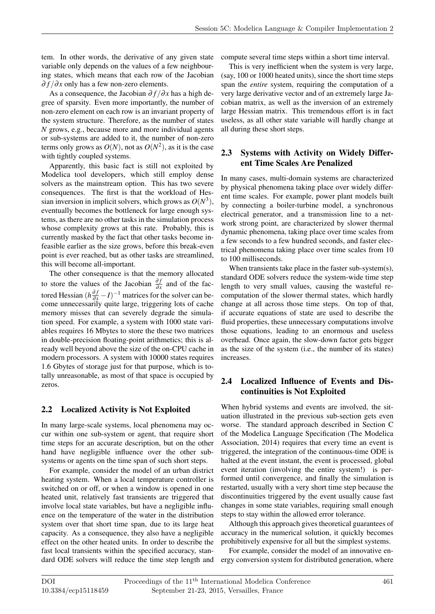tem. In other words, the derivative of any given state variable only depends on the values of a few neighbouring states, which means that each row of the Jacobian ∂ *f* /∂*x* only has a few non-zero elements.

As a consequence, the Jacobian  $\partial f / \partial x$  has a high degree of sparsity. Even more importantly, the number of non-zero element on each row is an invariant property of the system structure. Therefore, as the number of states *N* grows, e.g., because more and more individual agents or sub-systems are added to it, the number of non-zero terms only grows as  $O(N)$ , not as  $O(N^2)$ , as it is the case with tightly coupled systems.

Apparently, this basic fact is still not exploited by Modelica tool developers, which still employ dense solvers as the mainstream option. This has two severe consequences. The first is that the workload of Hessian inversion in implicit solvers, which grows as  $O(N^3)$ , eventually becomes the bottleneck for large enough systems, as there are no other tasks in the simulation process whose complexity grows at this rate. Probably, this is currently masked by the fact that other tasks become infeasible earlier as the size grows, before this break-even point is ever reached, but as other tasks are streamlined, this will become all-important.

The other consequence is that the memory allocated to store the values of the Jacobian  $\frac{\partial f}{\partial x}$  and of the factored Hessian  $(h\frac{\partial f}{\partial x} - I)^{-1}$  matrices for the solver can become unnecessarily quite large, triggering lots of cache memory misses that can severely degrade the simulation speed. For example, a system with 1000 state variables requires 16 Mbytes to store the these two matrices in double-precision floating-point arithmetics; this is already well beyond above the size of the on-CPU cache in modern processors. A system with 10000 states requires 1.6 Gbytes of storage just for that purpose, which is totally unreasonable, as most of that space is occupied by zeros.

### 2.2 Localized Activity is Not Exploited

In many large-scale systems, local phenomena may occur within one sub-system or agent, that require short time steps for an accurate description, but on the other hand have negligible influence over the other subsystems or agents on the time span of such short steps.

For example, consider the model of an urban district heating system. When a local temperature controller is switched on or off, or when a window is opened in one heated unit, relatively fast transients are triggered that involve local state variables, but have a negligible influence on the temperature of the water in the distribution system over that short time span, due to its large heat capacity. As a consequence, they also have a negligible effect on the other heated units. In order to describe the fast local transients within the specified accuracy, standard ODE solvers will reduce the time step length and compute several time steps within a short time interval.

This is very inefficient when the system is very large, (say, 100 or 1000 heated units), since the short time steps span the *entire* system, requiring the computation of a very large derivative vector and of an extremely large Jacobian matrix, as well as the inversion of an extremely large Hessian matrix. This tremendous effort is in fact useless, as all other state variable will hardly change at all during these short steps.

### 2.3 Systems with Activity on Widely Different Time Scales Are Penalized

In many cases, multi-domain systems are characterized by physical phenomena taking place over widely different time scales. For example, power plant models built by connecting a boiler-turbine model, a synchronous electrical generator, and a transmission line to a network strong point, are characterized by slower thermal dynamic phenomena, taking place over time scales from a few seconds to a few hundred seconds, and faster electrical phenomena taking place over time scales from 10 to 100 milliseconds.

When transients take place in the faster sub-system(s), standard ODE solvers reduce the system-wide time step length to very small values, causing the wasteful recomputation of the slower thermal states, which hardly change at all across those time steps. On top of that, if accurate equations of state are used to describe the fluid properties, these unnecessary computations involve those equations, leading to an enormous and useless overhead. Once again, the slow-down factor gets bigger as the size of the system (i.e., the number of its states) increases.

### 2.4 Localized Influence of Events and Discontinuities is Not Exploited

When hybrid systems and events are involved, the situation illustrated in the previous sub-section gets even worse. The standard approach described in Section C of the Modelica Language Specification (The Modelica Association, 2014) requires that every time an event is triggered, the integration of the continuous-time ODE is halted at the event instant, the event is processed, global event iteration (involving the entire system!) is performed until convergence, and finally the simulation is restarted, usually with a very short time step because the discontinuities triggered by the event usually cause fast changes in some state variables, requiring small enough steps to stay within the allowed error tolerance.

Although this approach gives theoretical guarantees of accuracy in the numerical solution, it quickly becomes prohibitively expensive for all but the simplest systems.

For example, consider the model of an innovative energy conversion system for distributed generation, where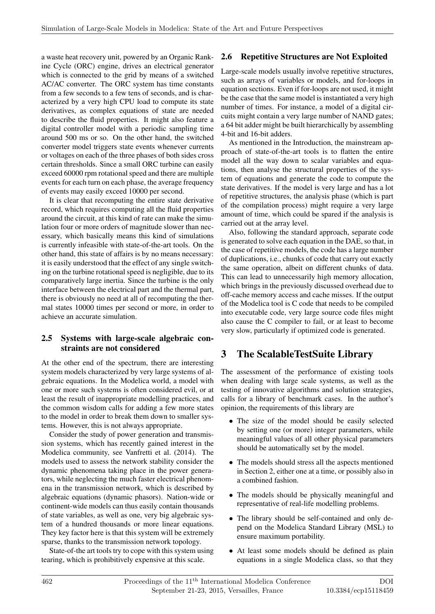a waste heat recovery unit, powered by an Organic Rankine Cycle (ORC) engine, drives an electrical generator which is connected to the grid by means of a switched AC/AC converter. The ORC system has time constants from a few seconds to a few tens of seconds, and is characterized by a very high CPU load to compute its state derivatives, as complex equations of state are needed to describe the fluid properties. It might also feature a digital controller model with a periodic sampling time around 500 ms or so. On the other hand, the switched converter model triggers state events whenever currents or voltages on each of the three phases of both sides cross certain thresholds. Since a small ORC turbine can easily exceed 60000 rpm rotational speed and there are multiple events for each turn on each phase, the average frequency of events may easily exceed 10000 per second.

It is clear that recomputing the entire state derivative record, which requires computing all the fluid properties around the circuit, at this kind of rate can make the simulation four or more orders of magnitude slower than necessary, which basically means this kind of simulations is currently infeasible with state-of-the-art tools. On the other hand, this state of affairs is by no means necessary: it is easily understood that the effect of any single switching on the turbine rotational speed is negligible, due to its comparatively large inertia. Since the turbine is the only interface between the electrical part and the thermal part, there is obviously no need at all of recomputing the thermal states 10000 times per second or more, in order to achieve an accurate simulation.

#### 2.5 Systems with large-scale algebraic constraints are not considered

At the other end of the spectrum, there are interesting system models characterized by very large systems of algebraic equations. In the Modelica world, a model with one or more such systems is often considered evil, or at least the result of inappropriate modelling practices, and the common wisdom calls for adding a few more states to the model in order to break them down to smaller systems. However, this is not always appropriate.

Consider the study of power generation and transmission systems, which has recently gained interest in the Modelica community, see Vanfretti et al. (2014). The models used to assess the network stability consider the dynamic phenomena taking place in the power generators, while neglecting the much faster electrical phenomena in the transmission network, which is described by algebraic equations (dynamic phasors). Nation-wide or continent-wide models can thus easily contain thousands of state variables, as well as one, very big algebraic system of a hundred thousands or more linear equations. They key factor here is that this system will be extremely sparse, thanks to the transmission network topology.

State-of-the art tools try to cope with this system using tearing, which is prohibitively expensive at this scale.

### 2.6 Repetitive Structures are Not Exploited

Large-scale models usually involve repetitive structures, such as arrays of variables or models, and for-loops in equation sections. Even if for-loops are not used, it might be the case that the same model is instantiated a very high number of times. For instance, a model of a digital circuits might contain a very large number of NAND gates; a 64 bit adder might be built hierarchically by assembling 4-bit and 16-bit adders.

As mentioned in the Introduction, the mainstream approach of state-of-the-art tools is to flatten the entire model all the way down to scalar variables and equations, then analyse the structural properties of the system of equations and generate the code to compute the state derivatives. If the model is very large and has a lot of repetitive structures, the analysis phase (which is part of the compilation process) might require a very large amount of time, which could be spared if the analysis is carried out at the array level.

Also, following the standard approach, separate code is generated to solve each equation in the DAE, so that, in the case of repetitive models, the code has a large number of duplications, i.e., chunks of code that carry out exactly the same operation, albeit on different chunks of data. This can lead to unnecessarily high memory allocation, which brings in the previously discussed overhead due to off-cache memory access and cache misses. If the output of the Modelica tool is C code that needs to be compiled into executable code, very large source code files might also cause the C compiler to fail, or at least to become very slow, particularly if optimized code is generated.

### 3 The ScalableTestSuite Library

The assessment of the performance of existing tools when dealing with large scale systems, as well as the testing of innovative algorithms and solution strategies, calls for a library of benchmark cases. In the author's opinion, the requirements of this library are

- The size of the model should be easily selected by setting one (or more) integer parameters, while meaningful values of all other physical parameters should be automatically set by the model.
- The models should stress all the aspects mentioned in Section 2, either one at a time, or possibly also in a combined fashion.
- The models should be physically meaningful and representative of real-life modelling problems.
- The library should be self-contained and only depend on the Modelica Standard Library (MSL) to ensure maximum portability.
- At least some models should be defined as plain equations in a single Modelica class, so that they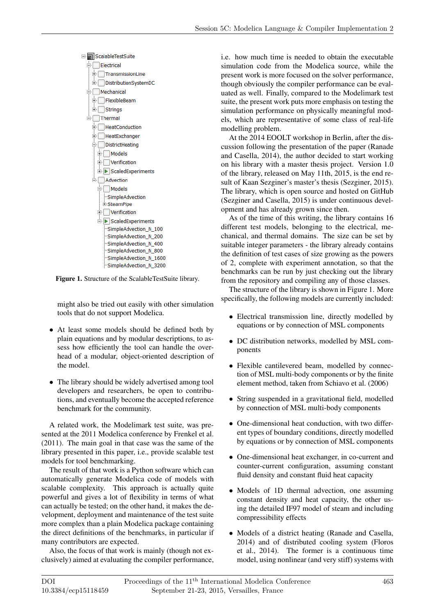

Figure 1. Structure of the ScalableTestSuite library.

might also be tried out easily with other simulation tools that do not support Modelica.

- At least some models should be defined both by plain equations and by modular descriptions, to assess how efficiently the tool can handle the overhead of a modular, object-oriented description of the model.
- The library should be widely advertised among tool developers and researchers, be open to contributions, and eventually become the accepted reference benchmark for the community.

A related work, the Modelimark test suite, was presented at the 2011 Modelica conference by Frenkel et al. (2011). The main goal in that case was the same of the library presented in this paper, i.e., provide scalable test models for tool benchmarking.

The result of that work is a Python software which can automatically generate Modelica code of models with scalable complexity. This approach is actually quite powerful and gives a lot of flexibility in terms of what can actually be tested; on the other hand, it makes the development, deployment and maintenance of the test suite more complex than a plain Modelica package containing the direct definitions of the benchmarks, in particular if many contributors are expected.

Also, the focus of that work is mainly (though not exclusively) aimed at evaluating the compiler performance, i.e. how much time is needed to obtain the executable simulation code from the Modelica source, while the present work is more focused on the solver performance, though obviously the compiler performance can be evaluated as well. Finally, compared to the Modelimark test suite, the present work puts more emphasis on testing the simulation performance on physically meaningful models, which are representative of some class of real-life modelling problem.

At the 2014 EOOLT workshop in Berlin, after the discussion following the presentation of the paper (Ranade and Casella, 2014), the author decided to start working on his library with a master thesis project. Version 1.0 of the library, released on May 11th, 2015, is the end result of Kaan Sezginer's master's thesis (Sezginer, 2015). The library, which is open source and hosted on GitHub (Sezginer and Casella, 2015) is under continuous development and has already grown since then.

As of the time of this writing, the library contains 16 different test models, belonging to the electrical, mechanical, and thermal domains. The size can be set by suitable integer parameters - the library already contains the definition of test cases of size growing as the powers of 2, complete with experiment annotation, so that the benchmarks can be run by just checking out the library from the repository and compiling any of those classes.

The structure of the library is shown in Figure 1. More specifically, the following models are currently included:

- Electrical transmission line, directly modelled by equations or by connection of MSL components
- DC distribution networks, modelled by MSL components
- Flexible cantilevered beam, modelled by connection of MSL multi-body components or by the finite element method, taken from Schiavo et al. (2006)
- String suspended in a gravitational field, modelled by connection of MSL multi-body components
- One-dimensional heat conduction, with two different types of boundary conditions, directly modelled by equations or by connection of MSL components
- One-dimensional heat exchanger, in co-current and counter-current configuration, assuming constant fluid density and constant fluid heat capacity
- Models of 1D thermal advection, one assuming constant density and heat capacity, the other using the detailed IF97 model of steam and including compressibility effects
- Models of a district heating (Ranade and Casella, 2014) and of distributed cooling system (Floros et al., 2014). The former is a continuous time model, using nonlinear (and very stiff) systems with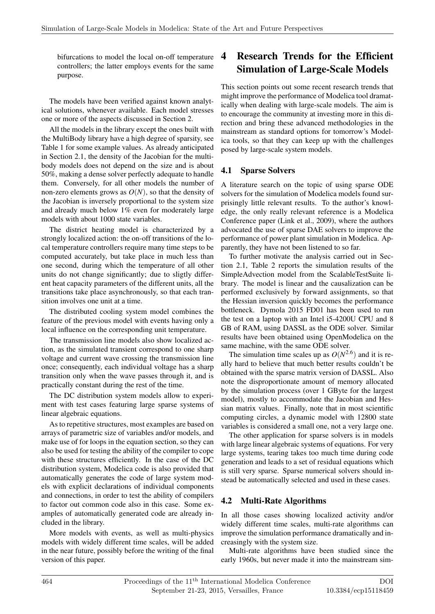bifurcations to model the local on-off temperature controllers; the latter employs events for the same purpose.

The models have been verified against known analytical solutions, whenever available. Each model stresses one or more of the aspects discussed in Section 2.

All the models in the library except the ones built with the MultiBody library have a high degree of sparsity, see Table 1 for some example values. As already anticipated in Section 2.1, the density of the Jacobian for the multibody models does not depend on the size and is about 50%, making a dense solver perfectly adequate to handle them. Conversely, for all other models the number of non-zero elements grows as *O*(*N*), so that the density of the Jacobian is inversely proportional to the system size and already much below 1% even for moderately large models with about 1000 state variables.

The district heating model is characterized by a strongly localized action: the on-off transitions of the local temperature controllers require many time steps to be computed accurately, but take place in much less than one second, during which the temperature of all other units do not change significantly; due to sligtly different heat capacity parameters of the different units, all the transitions take place asynchronously, so that each transition involves one unit at a time.

The distributed cooling system model combines the feature of the previous model with events having only a local influence on the corresponding unit temperature.

The transmission line models also show localized action, as the simulated transient correspond to one sharp voltage and current wave crossing the transmission line once; consequently, each individual voltage has a sharp transition only when the wave passes through it, and is practically constant during the rest of the time.

The DC distribution system models allow to experiment with test cases featuring large sparse systems of linear algebraic equations.

As to repetitive structures, most examples are based on arrays of parametric size of variables and/or models, and make use of for loops in the equation section, so they can also be used for testing the ability of the compiler to cope with these structures efficiently. In the case of the DC distribution system, Modelica code is also provided that automatically generates the code of large system models with explicit declarations of individual components and connections, in order to test the ability of compilers to factor out common code also in this case. Some examples of automatically generated code are already included in the library.

More models with events, as well as multi-physics models with widely different time scales, will be added in the near future, possibly before the writing of the final version of this paper.

## 4 Research Trends for the Efficient Simulation of Large-Scale Models

This section points out some recent research trends that might improve the performance of Modelica tool dramatically when dealing with large-scale models. The aim is to encourage the community at investing more in this direction and bring these advanced methodologies in the mainstream as standard options for tomorrow's Modelica tools, so that they can keep up with the challenges posed by large-scale system models.

### 4.1 Sparse Solvers

A literature search on the topic of using sparse ODE solvers for the simulation of Modelica models found surprisingly little relevant results. To the author's knowledge, the only really relevant reference is a Modelica Conference paper (Link et al., 2009), where the authors advocated the use of sparse DAE solvers to improve the performance of power plant simulation in Modelica. Apparently, they have not been listened to so far.

To further motivate the analysis carried out in Section 2.1, Table 2 reports the simulation results of the SimpleAdvection model from the ScalableTestSuite library. The model is linear and the causalization can be performed exclusively by forward assignments, so that the Hessian inversion quickly becomes the performance bottleneck. Dymola 2015 FD01 has been used to run the test on a laptop with an Intel i5-4200U CPU and 8 GB of RAM, using DASSL as the ODE solver. Similar results have been obtained using OpenModelica on the same machine, with the same ODE solver.

The simulation time scales up as  $O(N^{2.6})$  and it is really hard to believe that much better results couldn't be obtained with the sparse matrix version of DASSL. Also note the disproportionate amount of memory allocated by the simulation process (over 1 GByte for the largest model), mostly to accommodate the Jacobian and Hessian matrix values. Finally, note that in most scientific computing circles, a dynamic model with 12800 state variables is considered a small one, not a very large one.

The other application for sparse solvers is in models with large linear algebraic systems of equations. For very large systems, tearing takes too much time during code generation and leads to a set of residual equations which is still very sparse. Sparse numerical solvers should instead be automatically selected and used in these cases.

### 4.2 Multi-Rate Algorithms

In all those cases showing localized activity and/or widely different time scales, multi-rate algorithms can improve the simulation performance dramatically and increasingly with the system size.

Multi-rate algorithms have been studied since the early 1960s, but never made it into the mainstream sim-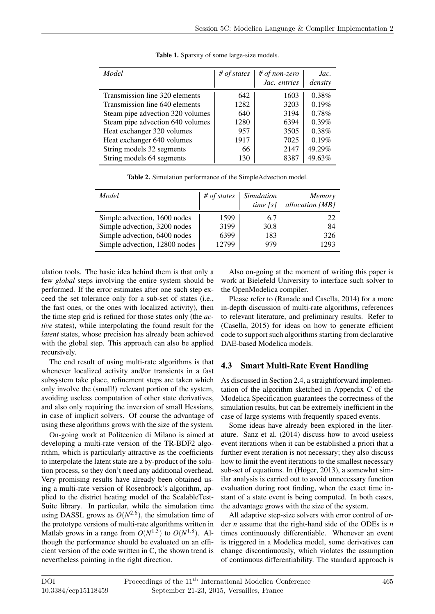| Model                            | $#$ of states | # of non-zero<br>Jac. entries | Jac.<br>density |
|----------------------------------|---------------|-------------------------------|-----------------|
| Transmission line 320 elements   | 642           | 1603                          | 0.38%           |
| Transmission line 640 elements   | 1282          | 3203                          | 0.19%           |
| Steam pipe advection 320 volumes | 640           | 3194                          | 0.78%           |
| Steam pipe advection 640 volumes | 1280          | 6394                          | $0.39\%$        |
| Heat exchanger 320 volumes       | 957           | 3505                          | 0.38%           |
| Heat exchanger 640 volumes       | 1917          | 7025                          | 0.19%           |
| String models 32 segments        | 66            | 2147                          | 49.29%          |
| String models 64 segments        | 130           | 8387                          | 49.63%          |

Table 1. Sparsity of some large-size models.

Table 2. Simulation performance of the SimpleAdvection model.

| Model                         | $#$ of states | <i>Simulation</i><br>time $[s]$ | <b>Memory</b><br>allocation [MB] |
|-------------------------------|---------------|---------------------------------|----------------------------------|
| Simple advection, 1600 nodes  | 1599          | 6.7                             | 22                               |
| Simple advection, 3200 nodes  | 3199          | 30.8                            | 84                               |
| Simple advection, 6400 nodes  | 6399          | 183                             | 326                              |
| Simple advection, 12800 nodes | 12799         | 979                             | 1293                             |

ulation tools. The basic idea behind them is that only a few *global* steps involving the entire system should be performed. If the error estimates after one such step exceed the set tolerance only for a sub-set of states (i.e., the fast ones, or the ones with localized activity), then the time step grid is refined for those states only (the *active* states), while interpolating the found result for the *latent* states, whose precision has already been achieved with the global step. This approach can also be applied recursively.

The end result of using multi-rate algorithms is that whenever localized activity and/or transients in a fast subsystem take place, refinement steps are taken which only involve the (small!) relevant portion of the system, avoiding useless computation of other state derivatives, and also only requiring the inversion of small Hessians, in case of implicit solvers. Of course the advantage of using these algorithms grows with the size of the system.

On-going work at Politecnico di Milano is aimed at developing a multi-rate version of the TR-BDF2 algorithm, which is particularly attractive as the coefficients to interpolate the latent state are a by-product of the solution process, so they don't need any additional overhead. Very promising results have already been obtained using a multi-rate version of Rosenbrock's algorithm, applied to the district heating model of the ScalableTest-Suite library. In particular, while the simulation time using DASSL grows as  $O(N^{2.6})$ , the simulation time of the prototype versions of multi-rate algorithms written in Matlab grows in a range from  $O(N^{1.3})$  to  $O(N^{1.8})$ . Although the performance should be evaluated on an efficient version of the code written in C, the shown trend is nevertheless pointing in the right direction.

Also on-going at the moment of writing this paper is work at Bielefeld University to interface such solver to the OpenModelica compiler.

Please refer to (Ranade and Casella, 2014) for a more in-depth discussion of multi-rate algorithms, references to relevant literature, and preliminary results. Refer to (Casella, 2015) for ideas on how to generate efficient code to support such algorithms starting from declarative DAE-based Modelica models.

### 4.3 Smart Multi-Rate Event Handling

As discussed in Section 2.4, a straightforward implementation of the algorithm sketched in Appendix C of the Modelica Specification guarantees the correctness of the simulation results, but can be extremely inefficient in the case of large systems with frequently spaced events.

Some ideas have already been explored in the literature. Sanz et al. (2014) discuss how to avoid useless event iterations when it can be established a priori that a further event iteration is not necessary; they also discuss how to limit the event iterations to the smallest necessary sub-set of equations. In (Höger, 2013), a somewhat similar analysis is carried out to avoid unnecessary function evaluation during root finding, when the exact time instant of a state event is being computed. In both cases, the advantage grows with the size of the system.

All adaptive step-size solvers with error control of order *n* assume that the right-hand side of the ODEs is *n* times continuously differentiable. Whenever an event is triggered in a Modelica model, some derivatives can change discontinuously, which violates the assumption of continuous differentiability. The standard approach is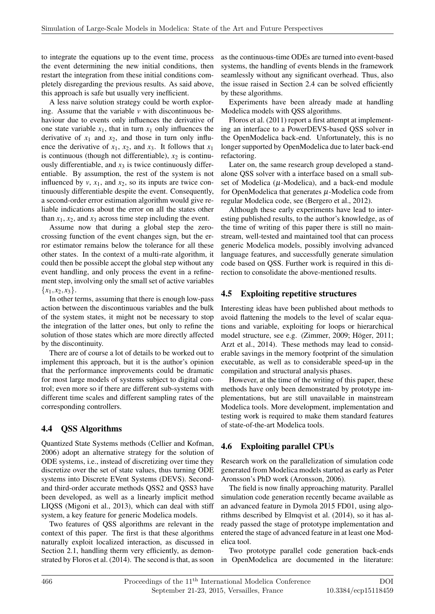to integrate the equations up to the event time, process the event determining the new initial conditions, then restart the integration from these initial conditions completely disregarding the previous results. As said above, this approach is safe but usually very inefficient.

A less naive solution strategy could be worth exploring. Assume that the variable *v* with discontinuous behaviour due to events only influences the derivative of one state variable  $x_1$ , that in turn  $x_1$  only influences the derivative of  $x_1$  and  $x_2$ , and those in turn only influence the derivative of  $x_1$ ,  $x_2$ , and  $x_3$ . It follows that  $x_1$ is continuous (though not differentiable),  $x_2$  is continuously differentiable, and  $x_3$  is twice continuously differentiable. By assumption, the rest of the system is not influenced by  $v$ ,  $x_1$ , and  $x_2$ , so its inputs are twice continuously differentiable despite the event. Consequently, a second-order error estimation algorithm would give reliable indications about the error on all the states other than  $x_1$ ,  $x_2$ , and  $x_3$  across time step including the event.

Assume now that during a global step the zerocrossing function of the event changes sign, but the error estimator remains below the tolerance for all these other states. In the context of a multi-rate algorithm, it could then be possible accept the global step without any event handling, and only process the event in a refinement step, involving only the small set of active variables  ${x_1, x_2, x_3}.$ 

In other terms, assuming that there is enough low-pass action between the discontinuous variables and the bulk of the system states, it might not be necessary to stop the integration of the latter ones, but only to refine the solution of those states which are more directly affected by the discontinuity.

There are of course a lot of details to be worked out to implement this approach, but it is the author's opinion that the performance improvements could be dramatic for most large models of systems subject to digital control; even more so if there are different sub-systems with different time scales and different sampling rates of the corresponding controllers.

### 4.4 QSS Algorithms

Quantized State Systems methods (Cellier and Kofman, 2006) adopt an alternative strategy for the solution of ODE systems, i.e., instead of discretizing over time they discretize over the set of state values, thus turning ODE systems into Discrete EVent Systems (DEVS). Secondand third-order accurate methods QSS2 and QSS3 have been developed, as well as a linearly implicit method LIQSS (Migoni et al., 2013), which can deal with stiff system, a key feature for generic Modelica models.

Two features of QSS algorithms are relevant in the context of this paper. The first is that these algorithms naturally exploit localized interaction, as discussed in Section 2.1, handling therm very efficiently, as demonstrated by Floros et al. (2014). The second is that, as soon as the continuous-time ODEs are turned into event-based systems, the handling of events blends in the framework seamlessly without any significant overhead. Thus, also the issue raised in Section 2.4 can be solved efficiently by these algorithms.

Experiments have been already made at handling Modelica models with QSS algorithms.

Floros et al. (2011) report a first attempt at implementing an interface to a PowerDEVS-based QSS solver in the OpenModelica back-end. Unfortunately, this is no longer supported by OpenModelica due to later back-end refactoring.

Later on, the same research group developed a standalone QSS solver with a interface based on a small subset of Modelica  $(\mu$ -Modelica), and a back-end module for OpenModelica that generates  $\mu$ -Modelica code from regular Modelica code, see (Bergero et al., 2012).

Although these early experiments have lead to interesting published results, to the author's knowledge, as of the time of writing of this paper there is still no mainstream, well-tested and maintained tool that can process generic Modelica models, possibly involving advanced language features, and successfully generate simulation code based on QSS. Further work is required in this direction to consolidate the above-mentioned results.

#### 4.5 Exploiting repetitive structures

Interesting ideas have been published about methods to avoid flattening the models to the level of scalar equations and variable, exploiting for loops or hierarchical model structure, see e.g. (Zimmer, 2009; Höger, 2011; Arzt et al., 2014). These methods may lead to considerable savings in the memory footprint of the simulation executable, as well as to considerable speed-up in the compilation and structural analysis phases.

However, at the time of the writing of this paper, these methods have only been demonstrated by prototype implementations, but are still unavailable in mainstream Modelica tools. More development, implementation and testing work is required to make them standard features of state-of-the-art Modelica tools.

### 4.6 Exploiting parallel CPUs

Research work on the parallelization of simulation code generated from Modelica models started as early as Peter Aronsson's PhD work (Aronsson, 2006).

The field is now finally approaching maturity. Parallel simulation code generation recently became available as an advanced feature in Dymola 2015 FD01, using algorithms described by Elmqvist et al. (2014), so it has already passed the stage of prototype implementation and entered the stage of advanced feature in at least one Modelica tool.

Two prototype parallel code generation back-ends in OpenModelica are documented in the literature: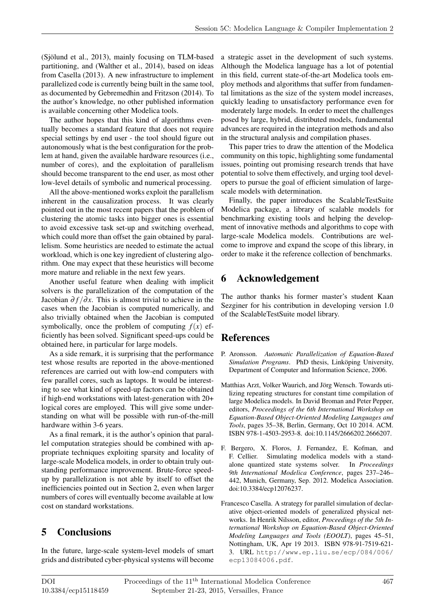(Sjölund et al., 2013), mainly focusing on TLM-based partitioning, and (Walther et al., 2014), based on ideas from Casella (2013). A new infrastructure to implement parallelized code is currently being built in the same tool, as documented by Gebremedhin and Fritzson (2014). To the author's knowledge, no other published information is available concerning other Modelica tools.

The author hopes that this kind of algorithms eventually becomes a standard feature that does not require special settings by end user - the tool should figure out autonomously what is the best configuration for the problem at hand, given the available hardware resources (i.e., number of cores), and the exploitation of parallelism should become transparent to the end user, as most other low-level details of symbolic and numerical processing.

All the above-mentioned works exploit the parallelism inherent in the causalization process. It was clearly pointed out in the most recent papers that the problem of clustering the atomic tasks into bigger ones is essential to avoid excessive task set-up and switching overhead, which could more than offset the gain obtained by parallelism. Some heuristics are needed to estimate the actual workload, which is one key ingredient of clustering algorithm. One may expect that these heuristics will become more mature and reliable in the next few years.

Another useful feature when dealing with implicit solvers is the parallelization of the computation of the Jacobian  $\partial f / \partial x$ . This is almost trivial to achieve in the cases when the Jacobian is computed numerically, and also trivially obtained when the Jacobian is computed symbolically, once the problem of computing  $f(x)$  efficiently has been solved. Significant speed-ups could be obtained here, in particular for large models.

As a side remark, it is surprising that the performance test whose results are reported in the above-mentioned references are carried out with low-end computers with few parallel cores, such as laptops. It would be interesting to see what kind of speed-up factors can be obtained if high-end workstations with latest-generation with 20+ logical cores are employed. This will give some understanding on what will be possible with run-of-the-mill hardware within 3-6 years.

As a final remark, it is the author's opinion that parallel computation strategies should be combined with appropriate techniques exploiting sparsity and locality of large-scale Modelica models, in order to obtain truly outstanding performance improvement. Brute-force speedup by parallelization is not able by itself to offset the inefficiencies pointed out in Section 2, even when larger numbers of cores will eventually become available at low cost on standard workstations.

# 5 Conclusions

In the future, large-scale system-level models of smart grids and distributed cyber-physical systems will become a strategic asset in the development of such systems. Although the Modelica language has a lot of potential in this field, current state-of-the-art Modelica tools employ methods and algorithms that suffer from fundamental limitations as the size of the system model increases, quickly leading to unsatisfactory performance even for moderately large models. In order to meet the challenges posed by large, hybrid, distributed models, fundamental advances are required in the integration methods and also in the structural analysis and compilation phases.

This paper tries to draw the attention of the Modelica community on this topic, highlighting some fundamental issues, pointing out promising research trends that have potential to solve them effectively, and urging tool developers to pursue the goal of efficient simulation of largescale models with determination.

Finally, the paper introduces the ScalableTestSuite Modelica package, a library of scalable models for benchmarking existing tools and helping the development of innovative methods and algorithms to cope with large-scale Modelica models. Contributions are welcome to improve and expand the scope of this library, in order to make it the reference collection of benchmarks.

### 6 Acknowledgement

The author thanks his former master's student Kaan Sezginer for his contribution in developing version 1.0 of the ScalableTestSuite model library.

### References

- P. Aronsson. *Automatic Parallelization of Equation-Based Simulation Programs*. PhD thesis, Linköping University, Department of Computer and Information Science, 2006.
- Matthias Arzt, Volker Waurich, and Jörg Wensch. Towards utilizing repeating structures for constant time compilation of large Modelica models. In David Broman and Peter Pepper, editors, *Proceedings of the 6th International Workshop on Equation-Based Object-Oriented Modeling Languages and Tools*, pages 35–38, Berlin, Germany, Oct 10 2014. ACM. ISBN 978-1-4503-2953-8. doi:10.1145/2666202.2666207.
- F. Bergero, X. Floros, J. Fernandez, E. Kofman, and F. Cellier. Simulating modelica models with a standalone quantized state systems solver. In *Proceedings 9th International Modelica Conference*, pages 237–246– 442, Munich, Germany, Sep. 2012. Modelica Association. doi:10.3384/ecp12076237.
- Francesco Casella. A strategy for parallel simulation of declarative object-oriented models of generalized physical networks. In Henrik Nilsson, editor, *Proceedings of the 5th International Workshop on Equation-Based Object-Oriented Modeling Languages and Tools (EOOLT)*, pages 45–51, Nottingham, UK, Apr 19 2013. ISBN 978-91-7519-621- 3. URL http://www.ep.liu.se/ecp/084/006/ ecp13084006.pdf.